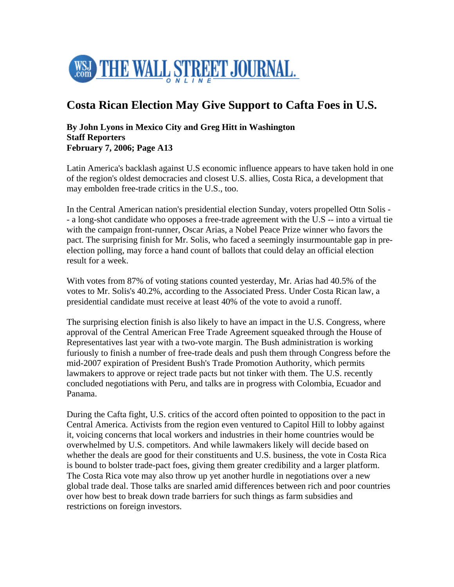

## **Costa Rican Election May Give Support to Cafta Foes in U.S.**

## **By John Lyons in Mexico City and Greg Hitt in Washington Staff Reporters February 7, 2006; Page A13**

Latin America's backlash against U.S economic influence appears to have taken hold in one of the region's oldest democracies and closest U.S. allies, Costa Rica, a development that may embolden free-trade critics in the U.S., too.

In the Central American nation's presidential election Sunday, voters propelled Ottn Solis - - a long-shot candidate who opposes a free-trade agreement with the U.S -- into a virtual tie with the campaign front-runner, Oscar Arias, a Nobel Peace Prize winner who favors the pact. The surprising finish for Mr. Solis, who faced a seemingly insurmountable gap in preelection polling, may force a hand count of ballots that could delay an official election result for a week.

With votes from 87% of voting stations counted yesterday, Mr. Arias had 40.5% of the votes to Mr. Solis's 40.2%, according to the Associated Press. Under Costa Rican law, a presidential candidate must receive at least 40% of the vote to avoid a runoff.

The surprising election finish is also likely to have an impact in the U.S. Congress, where approval of the Central American Free Trade Agreement squeaked through the House of Representatives last year with a two-vote margin. The Bush administration is working furiously to finish a number of free-trade deals and push them through Congress before the mid-2007 expiration of President Bush's Trade Promotion Authority, which permits lawmakers to approve or reject trade pacts but not tinker with them. The U.S. recently concluded negotiations with Peru, and talks are in progress with Colombia, Ecuador and Panama.

During the Cafta fight, U.S. critics of the accord often pointed to opposition to the pact in Central America. Activists from the region even ventured to Capitol Hill to lobby against it, voicing concerns that local workers and industries in their home countries would be overwhelmed by U.S. competitors. And while lawmakers likely will decide based on whether the deals are good for their constituents and U.S. business, the vote in Costa Rica is bound to bolster trade-pact foes, giving them greater credibility and a larger platform. The Costa Rica vote may also throw up yet another hurdle in negotiations over a new global trade deal. Those talks are snarled amid differences between rich and poor countries over how best to break down trade barriers for such things as farm subsidies and restrictions on foreign investors.